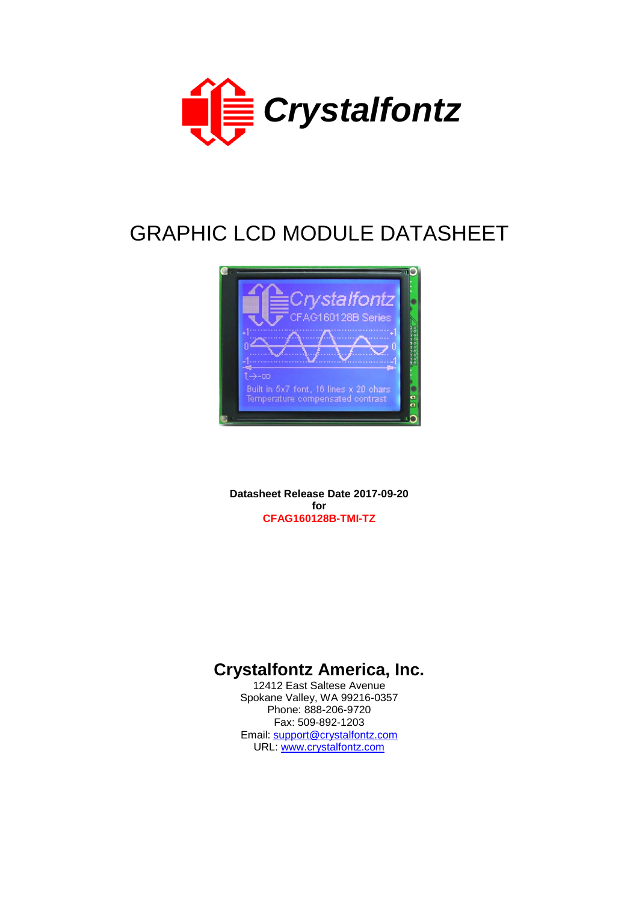

# GRAPHIC LCD MODULE DATASHEET



**Datasheet Release Date 2017-09-20 for CFAG160128B-TMI-TZ**

# **Crystalfontz America, Inc.**

12412 East Saltese Avenue Spokane Valley, WA 99216-0357 Phone: 888-206-9720 Fax: 509-892-1203 Email: [support@crystalfontz.com](mailto:support@crystalfontz.com) URL: [www.crystalfontz.com](http://www.crystalfontz.com/)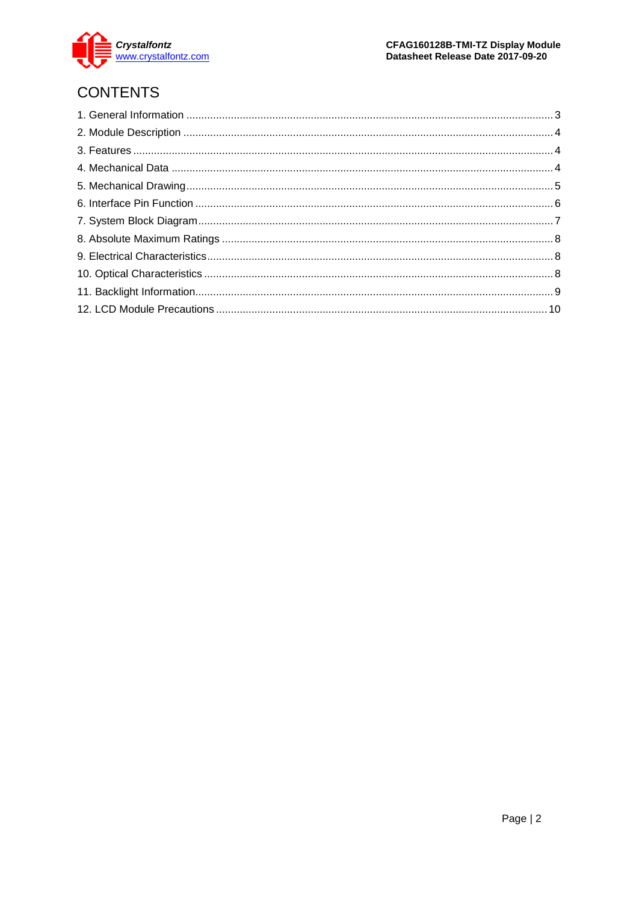

# **CONTENTS**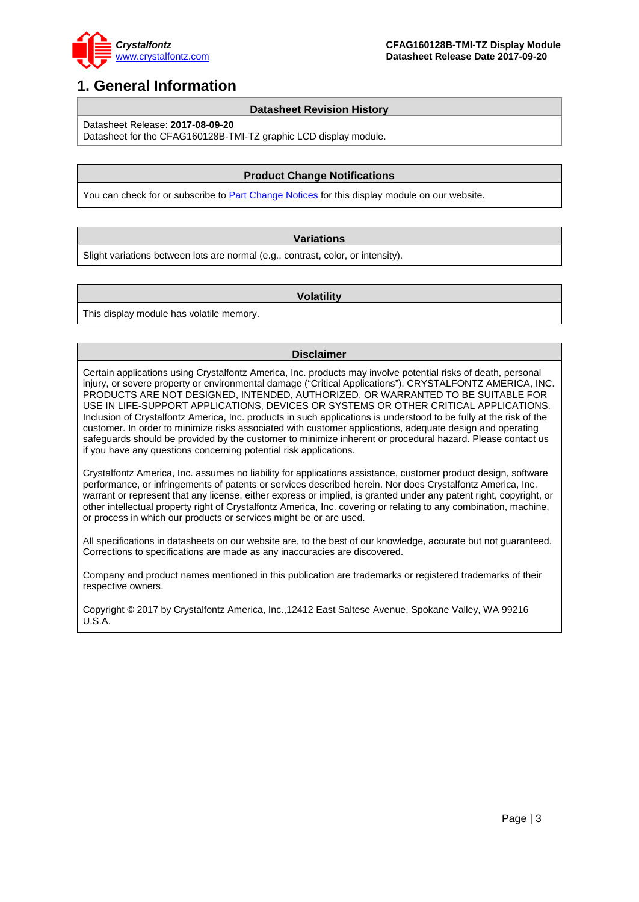

### <span id="page-2-0"></span>**1. General Information**

#### **Datasheet Revision History**

Datasheet Release: **2017-08-09-20**

Datasheet for the CFAG160128B-TMI-TZ graphic LCD display module.

#### **Product Change Notifications**

You can check for or subscribe to **Part Change Notices** for this display module on our website.

#### **Variations**

Slight variations between lots are normal (e.g., contrast, color, or intensity).

#### **Volatility**

This display module has volatile memory.

#### **Disclaimer**

Certain applications using Crystalfontz America, Inc. products may involve potential risks of death, personal injury, or severe property or environmental damage ("Critical Applications"). CRYSTALFONTZ AMERICA, INC. PRODUCTS ARE NOT DESIGNED, INTENDED, AUTHORIZED, OR WARRANTED TO BE SUITABLE FOR USE IN LIFE-SUPPORT APPLICATIONS, DEVICES OR SYSTEMS OR OTHER CRITICAL APPLICATIONS. Inclusion of Crystalfontz America, Inc. products in such applications is understood to be fully at the risk of the customer. In order to minimize risks associated with customer applications, adequate design and operating safeguards should be provided by the customer to minimize inherent or procedural hazard. Please contact us if you have any questions concerning potential risk applications.

Crystalfontz America, Inc. assumes no liability for applications assistance, customer product design, software performance, or infringements of patents or services described herein. Nor does Crystalfontz America, Inc. warrant or represent that any license, either express or implied, is granted under any patent right, copyright, or other intellectual property right of Crystalfontz America, Inc. covering or relating to any combination, machine, or process in which our products or services might be or are used.

All specifications in datasheets on our website are, to the best of our knowledge, accurate but not guaranteed. Corrections to specifications are made as any inaccuracies are discovered.

Company and product names mentioned in this publication are trademarks or registered trademarks of their respective owners.

Copyright © 2017 by Crystalfontz America, Inc.,12412 East Saltese Avenue, Spokane Valley, WA 99216 U.S.A.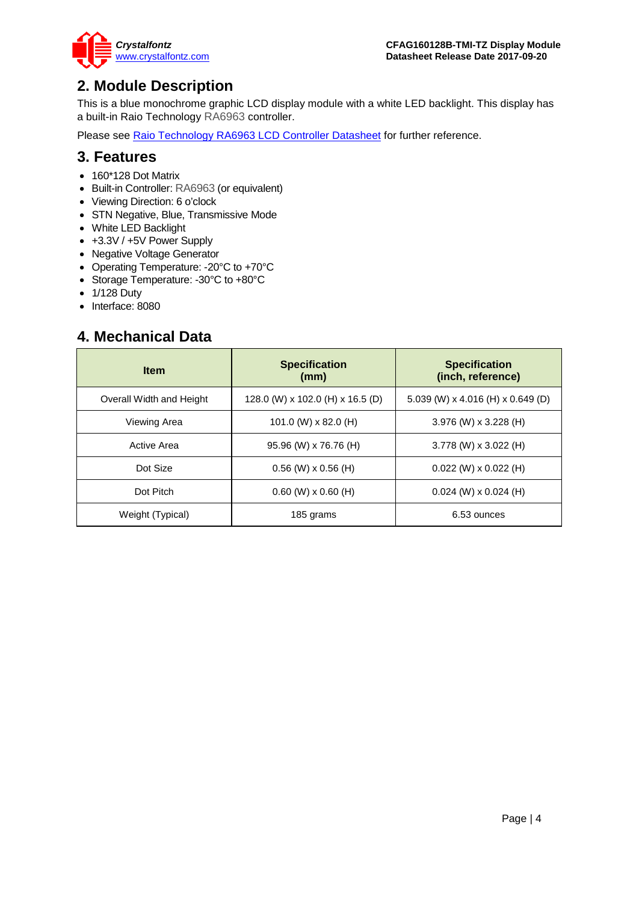

### <span id="page-3-0"></span>**2. Module Description**

This is a blue monochrome graphic LCD display module with a white LED backlight. This display has a built-in Raio Technology RA6963 controller.

Please see [Raio Technology RA6963 LCD Controller Datasheet](https://www.crystalfontz.com/controllers/RAiOTechnology/RA6963/) for further reference.

### <span id="page-3-1"></span>**3. Features**

- 160\*128 Dot Matrix
- Built-in Controller: RA6963 (or equivalent)
- Viewing Direction: 6 o'clock
- STN Negative, Blue, Transmissive Mode
- White LED Backlight
- +3.3V / +5V Power Supply
- Negative Voltage Generator
- Operating Temperature: -20°C to +70°C
- Storage Temperature: -30°C to +80°C
- 1/128 Duty
- Interface: 8080

### <span id="page-3-2"></span>**4. Mechanical Data**

| <b>Item</b>              | <b>Specification</b><br>(mm)     | <b>Specification</b><br>(inch, reference) |
|--------------------------|----------------------------------|-------------------------------------------|
| Overall Width and Height | 128.0 (W) x 102.0 (H) x 16.5 (D) | 5.039 (W) x 4.016 (H) x 0.649 (D)         |
| Viewing Area             | 101.0 (W) $\times$ 82.0 (H)      | $3.976$ (W) x $3.228$ (H)                 |
| Active Area              | 95.96 (W) x 76.76 (H)            | $3.778$ (W) x $3.022$ (H)                 |
| Dot Size                 | $0.56$ (W) $\times$ 0.56 (H)     | $0.022$ (W) x $0.022$ (H)                 |
| Dot Pitch                | $0.60$ (W) $\times$ 0.60 (H)     | $0.024$ (W) x $0.024$ (H)                 |
| Weight (Typical)         | 185 grams                        | 6.53 ounces                               |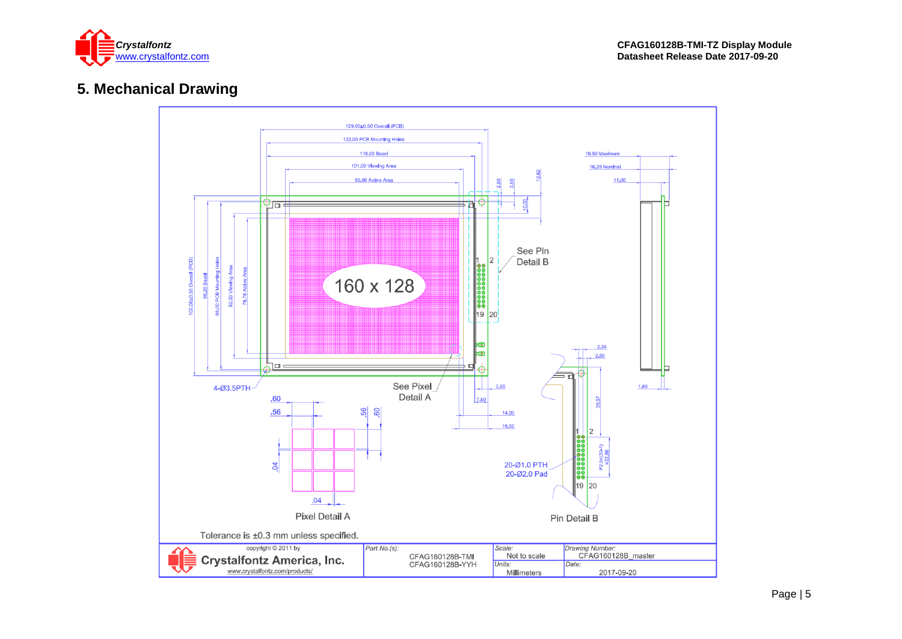

# **5. Mechanical Drawing**

<span id="page-4-0"></span>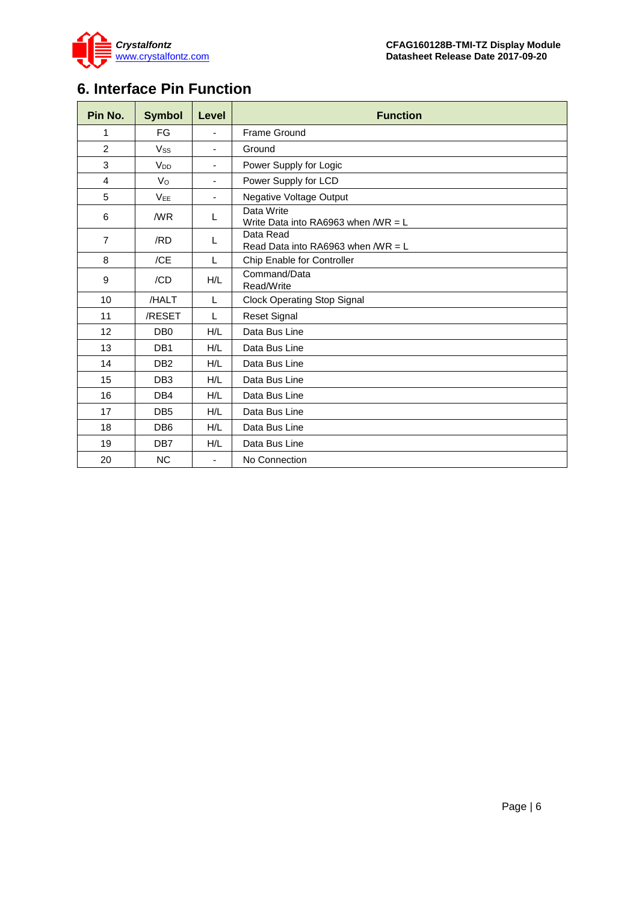

# <span id="page-5-0"></span>**6. Interface Pin Function**

| Pin No.        | <b>Symbol</b>         | Level          | <b>Function</b>                                                  |  |  |  |
|----------------|-----------------------|----------------|------------------------------------------------------------------|--|--|--|
| 1              | FG                    |                | Frame Ground                                                     |  |  |  |
| $\overline{2}$ | <b>Vss</b>            | $\blacksquare$ | Ground                                                           |  |  |  |
| 3              | <b>V<sub>DD</sub></b> | $\blacksquare$ | Power Supply for Logic                                           |  |  |  |
| $\overline{4}$ | V <sub>O</sub>        | $\blacksquare$ | Power Supply for LCD                                             |  |  |  |
| 5              | <b>VEE</b>            | $\blacksquare$ | <b>Negative Voltage Output</b>                                   |  |  |  |
| 6              | /WR                   | L              | Data Write<br>Write Data into RA6963 when $\text{WR} = \text{L}$ |  |  |  |
| $\overline{7}$ | /RD                   | L              | Data Read<br>Read Data into RA6963 when $\text{WR} = \text{L}$   |  |  |  |
| 8              | /CE                   | $\mathsf{L}$   | Chip Enable for Controller                                       |  |  |  |
| 9              | /CD                   | H/L            | Command/Data<br>Read/Write                                       |  |  |  |
| 10             | /HALT                 | $\mathsf{L}$   | <b>Clock Operating Stop Signal</b>                               |  |  |  |
| 11             | /RESET                | L              | <b>Reset Signal</b>                                              |  |  |  |
| 12             | DB <sub>0</sub>       | H/L            | Data Bus Line                                                    |  |  |  |
| 13             | DB <sub>1</sub>       | H/L            | Data Bus Line                                                    |  |  |  |
| 14             | DB <sub>2</sub>       | H/L            | Data Bus Line                                                    |  |  |  |
| 15             | DB <sub>3</sub>       | H/L            | Data Bus Line                                                    |  |  |  |
| 16             | DB4                   | H/L            | Data Bus Line                                                    |  |  |  |
| 17             | DB <sub>5</sub>       | H/L            | Data Bus Line                                                    |  |  |  |
| 18             | DB <sub>6</sub>       | H/L            | Data Bus Line                                                    |  |  |  |
| 19             | DB7                   | H/L            | Data Bus Line                                                    |  |  |  |
| 20             | <b>NC</b>             |                | No Connection                                                    |  |  |  |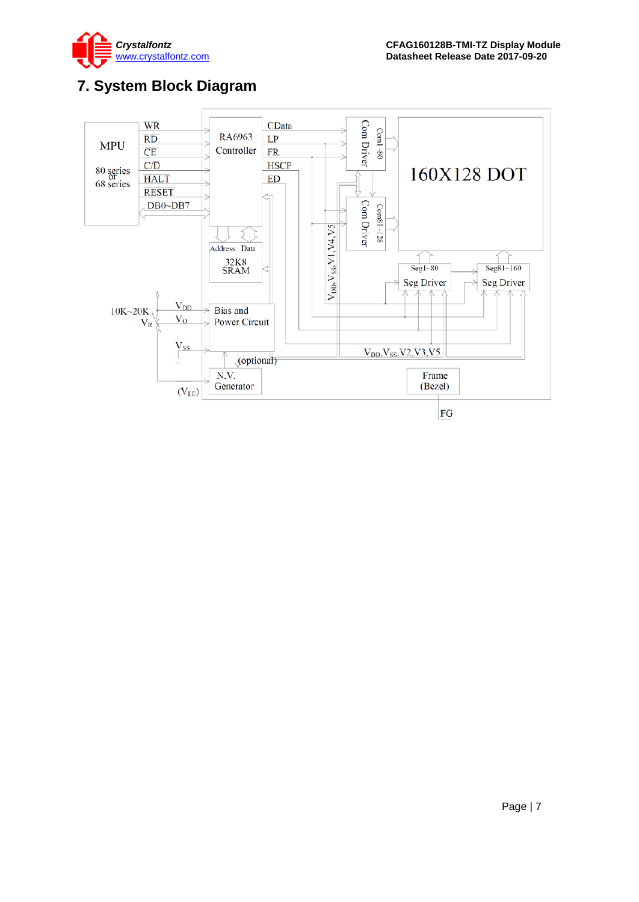

# <span id="page-6-0"></span>**7. System Block Diagram**

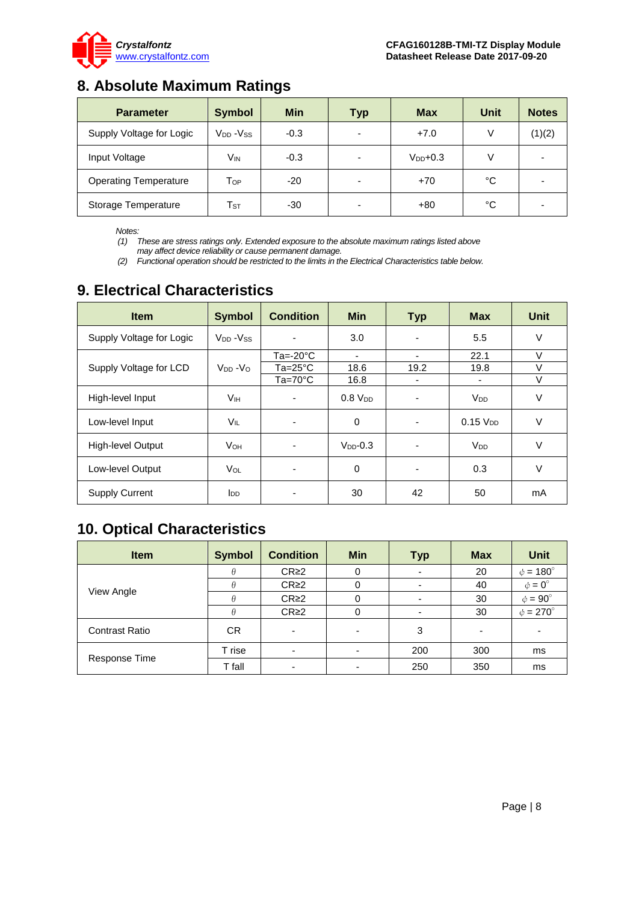

### <span id="page-7-0"></span>**8. Absolute Maximum Ratings**

| <b>Parameter</b>             | <b>Symbol</b>                    | <b>Min</b> | <b>Typ</b>               | <b>Max</b>    | Unit | <b>Notes</b> |
|------------------------------|----------------------------------|------------|--------------------------|---------------|------|--------------|
| Supply Voltage for Logic     | V <sub>DD</sub> -V <sub>SS</sub> | $-0.3$     |                          | $+7.0$        |      | (1)(2)       |
| Input Voltage                | Vın                              | $-0.3$     |                          | $V_{DD}$ +0.3 |      |              |
| <b>Operating Temperature</b> | Тор                              | $-20$      |                          | $+70$         | °C   |              |
| Storage Temperature          | $\mathsf{T}_{\texttt{ST}}$       | $-30$      | $\overline{\phantom{0}}$ | $+80$         | °C   |              |

*Notes:*

*(1) These are stress ratings only. Extended exposure to the absolute maximum ratings listed above* 

*may affect device reliability or cause permanent damage.* 

*(2) Functional operation should be restricted to the limits in the Electrical Characteristics table below.*

# <span id="page-7-1"></span>**9. Electrical Characteristics**

| <b>Item</b>              | <b>Symbol</b>                     | <b>Condition</b>         | <b>Min</b>     | <b>Typ</b> | <b>Max</b>            | <b>Unit</b> |
|--------------------------|-----------------------------------|--------------------------|----------------|------------|-----------------------|-------------|
| Supply Voltage for Logic | V <sub>DD</sub> - V <sub>SS</sub> |                          | 3.0            |            | 5.5                   | V           |
|                          |                                   | $Ta = -20°C$             |                |            | 22.1                  | V           |
| Supply Voltage for LCD   | $V_{DD} - V_{O}$                  | $Ta = 25^{\circ}C$       | 18.6           | 19.2       | 19.8                  | $\vee$      |
|                          |                                   | $Ta=70^{\circ}C$         | 16.8           |            |                       | $\vee$      |
| High-level Input         | V <sub>IH</sub>                   | $\overline{\phantom{a}}$ | $0.8$ $V_{DD}$ |            | <b>V<sub>DD</sub></b> | V           |
| Low-level Input          | <b>VIL</b>                        | ٠                        | 0              |            | $0.15$ $V_{DD}$       | V           |
| High-level Output        | <b>V</b> он                       |                          | $V_{DD}$ -0.3  |            | <b>V<sub>DD</sub></b> | V           |
| Low-level Output         | VOL                               |                          | 0              |            | 0.3                   | V           |
| <b>Supply Current</b>    | <b>I</b> <sub>DD</sub>            |                          | 30             | 42         | 50                    | mA          |

# <span id="page-7-2"></span>**10. Optical Characteristics**

| <b>Item</b>           | <b>Symbol</b> | <b>Condition</b>         | <b>Min</b>               | <b>Typ</b> | <b>Max</b>               | <b>Unit</b>              |
|-----------------------|---------------|--------------------------|--------------------------|------------|--------------------------|--------------------------|
| View Angle            |               | $CR \geq 2$              | 0                        | ۰          | 20                       | $\phi = 180^\circ$       |
|                       |               | CR <sub>2</sub>          | 0                        |            | 40                       | $\phi = 0^{\circ}$       |
|                       | A             | $CR \geq 2$              | 0                        | -          | 30                       | $\phi = 90^{\circ}$      |
|                       | A             | $CR \geq 2$              | 0                        |            | 30                       | $\phi = 270^\circ$       |
| <b>Contrast Ratio</b> | CR.           | $\overline{\phantom{0}}$ | $\overline{\phantom{0}}$ | 3          | $\overline{\phantom{0}}$ | $\overline{\phantom{0}}$ |
| Response Time         | T rise        | $\overline{\phantom{0}}$ | $\overline{\phantom{a}}$ | 200        | 300                      | ms                       |
|                       | T fall        | -                        |                          | 250        | 350                      | ms                       |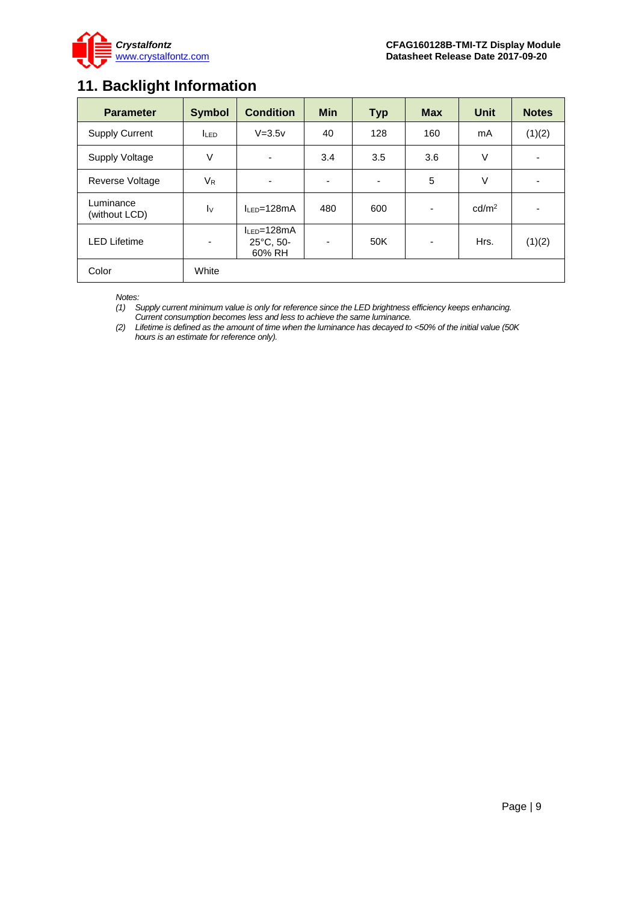

### <span id="page-8-0"></span>**11. Backlight Information**

| <b>Parameter</b>           | <b>Symbol</b>     | <b>Condition</b>                                   | <b>Min</b> | <b>Typ</b> | <b>Max</b>               | <b>Unit</b>       | <b>Notes</b>             |
|----------------------------|-------------------|----------------------------------------------------|------------|------------|--------------------------|-------------------|--------------------------|
| <b>Supply Current</b>      | <b>ILED</b>       | $V=3.5v$                                           | 40         | 128        | 160                      | mA                | (1)(2)                   |
| Supply Voltage             | V                 | ٠                                                  | 3.4        | 3.5        | 3.6                      | V                 | ٠                        |
| Reverse Voltage            | $V_{R}$           | ٠                                                  | -          |            | 5                        | V                 | $\overline{\phantom{a}}$ |
| Luminance<br>(without LCD) | $\mathsf{I} \vee$ | $IIFD=128mA$                                       | 480        | 600        | $\overline{\phantom{a}}$ | cd/m <sup>2</sup> | $\overline{\phantom{a}}$ |
| <b>LED Lifetime</b>        | ٠                 | $I_{LED} = 128mA$<br>$25^{\circ}$ C, 50-<br>60% RH | -          | 50K        | ٠                        | Hrs.              | (1)(2)                   |
| Color                      | White             |                                                    |            |            |                          |                   |                          |

*Notes:* 

*(1) Supply current minimum value is only for reference since the LED brightness efficiency keeps enhancing. Current consumption becomes less and less to achieve the same luminance.* 

*(2) Lifetime is defined as the amount of time when the luminance has decayed to <50% of the initial value (50K hours is an estimate for reference only).*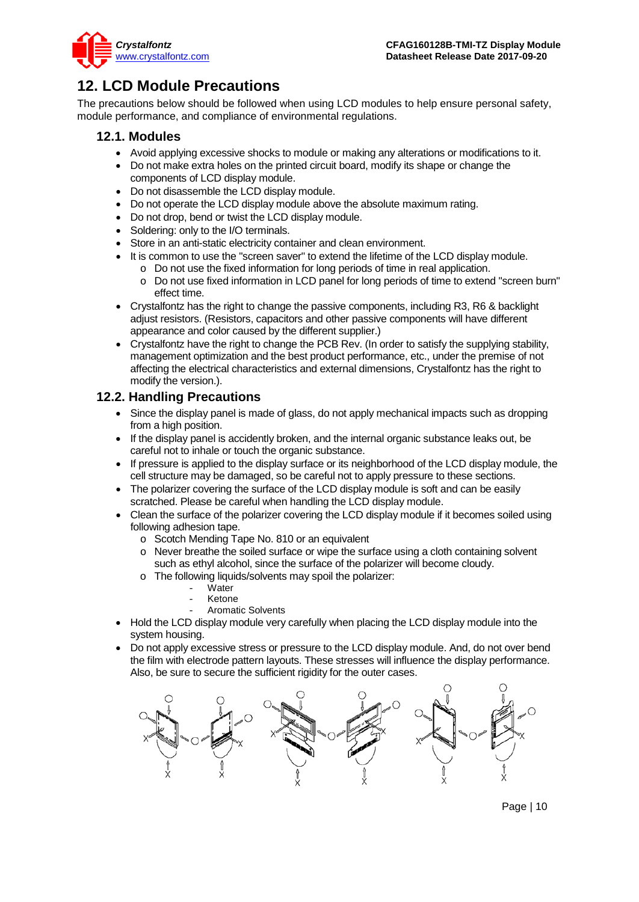

### <span id="page-9-0"></span>**12. LCD Module Precautions**

The precautions below should be followed when using LCD modules to help ensure personal safety, module performance, and compliance of environmental regulations.

#### **12.1. Modules**

- Avoid applying excessive shocks to module or making any alterations or modifications to it.
- Do not make extra holes on the printed circuit board, modify its shape or change the components of LCD display module.
- Do not disassemble the LCD display module.
- Do not operate the LCD display module above the absolute maximum rating.
- Do not drop, bend or twist the LCD display module.
- Soldering: only to the I/O terminals.
- Store in an anti-static electricity container and clean environment.
- It is common to use the "screen saver" to extend the lifetime of the LCD display module.
	- o Do not use the fixed information for long periods of time in real application.
	- o Do not use fixed information in LCD panel for long periods of time to extend "screen burn" effect time.
- Crystalfontz has the right to change the passive components, including R3, R6 & backlight adjust resistors. (Resistors, capacitors and other passive components will have different appearance and color caused by the different supplier.)
- Crystalfontz have the right to change the PCB Rev. (In order to satisfy the supplying stability, management optimization and the best product performance, etc., under the premise of not affecting the electrical characteristics and external dimensions, Crystalfontz has the right to modify the version.).

### **12.2. Handling Precautions**

- Since the display panel is made of glass, do not apply mechanical impacts such as dropping from a high position.
- If the display panel is accidently broken, and the internal organic substance leaks out, be careful not to inhale or touch the organic substance.
- If pressure is applied to the display surface or its neighborhood of the LCD display module, the cell structure may be damaged, so be careful not to apply pressure to these sections.
- The polarizer covering the surface of the LCD display module is soft and can be easily scratched. Please be careful when handling the LCD display module.
- Clean the surface of the polarizer covering the LCD display module if it becomes soiled using following adhesion tape.
	- o Scotch Mending Tape No. 810 or an equivalent
	- o Never breathe the soiled surface or wipe the surface using a cloth containing solvent such as ethyl alcohol, since the surface of the polarizer will become cloudy.
	- o The following liquids/solvents may spoil the polarizer:
		- Water
		- **Ketone**
		- Aromatic Solvents
- Hold the LCD display module very carefully when placing the LCD display module into the system housing.
- Do not apply excessive stress or pressure to the LCD display module. And, do not over bend the film with electrode pattern layouts. These stresses will influence the display performance. Also, be sure to secure the sufficient rigidity for the outer cases.



Page | 10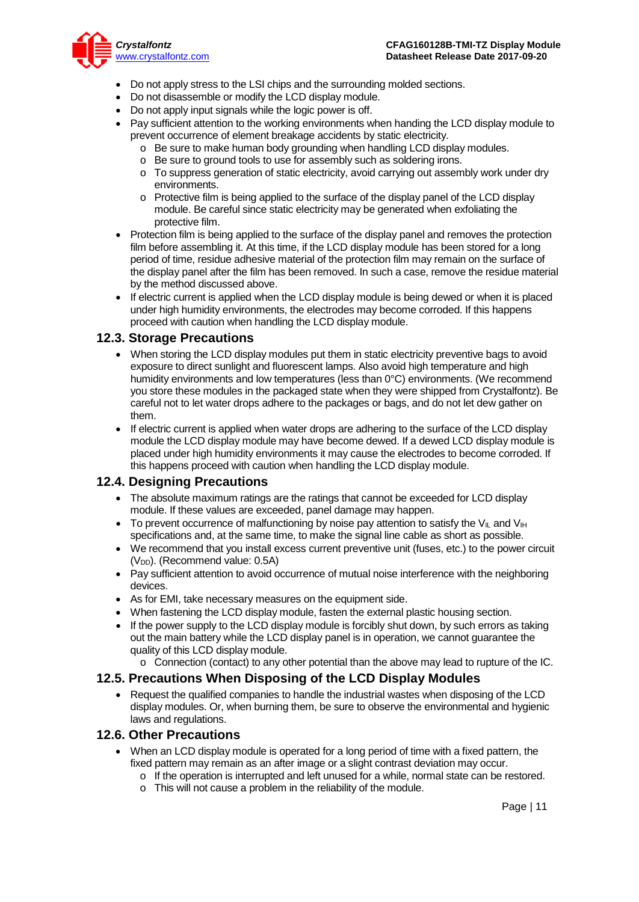

- Do not apply stress to the LSI chips and the surrounding molded sections.
- Do not disassemble or modify the LCD display module.
- Do not apply input signals while the logic power is off.
- Pay sufficient attention to the working environments when handing the LCD display module to prevent occurrence of element breakage accidents by static electricity.
	- o Be sure to make human body grounding when handling LCD display modules.
	- o Be sure to ground tools to use for assembly such as soldering irons.
	- o To suppress generation of static electricity, avoid carrying out assembly work under dry environments.
	- o Protective film is being applied to the surface of the display panel of the LCD display module. Be careful since static electricity may be generated when exfoliating the protective film.
- Protection film is being applied to the surface of the display panel and removes the protection film before assembling it. At this time, if the LCD display module has been stored for a long period of time, residue adhesive material of the protection film may remain on the surface of the display panel after the film has been removed. In such a case, remove the residue material by the method discussed above.
- If electric current is applied when the LCD display module is being dewed or when it is placed under high humidity environments, the electrodes may become corroded. If this happens proceed with caution when handling the LCD display module.

#### **12.3. Storage Precautions**

- When storing the LCD display modules put them in static electricity preventive bags to avoid exposure to direct sunlight and fluorescent lamps. Also avoid high temperature and high humidity environments and low temperatures (less than 0°C) environments. (We recommend you store these modules in the packaged state when they were shipped from Crystalfontz). Be careful not to let water drops adhere to the packages or bags, and do not let dew gather on them.
- If electric current is applied when water drops are adhering to the surface of the LCD display module the LCD display module may have become dewed. If a dewed LCD display module is placed under high humidity environments it may cause the electrodes to become corroded. If this happens proceed with caution when handling the LCD display module.

#### **12.4. Designing Precautions**

- The absolute maximum ratings are the ratings that cannot be exceeded for LCD display module. If these values are exceeded, panel damage may happen.
- To prevent occurrence of malfunctioning by noise pay attention to satisfy the V<sub>II</sub> and V<sub>IH</sub> specifications and, at the same time, to make the signal line cable as short as possible.
- We recommend that you install excess current preventive unit (fuses, etc.) to the power circuit (V<sub>DD</sub>). (Recommend value: 0.5A)
- Pay sufficient attention to avoid occurrence of mutual noise interference with the neighboring devices.
- As for EMI, take necessary measures on the equipment side.
- When fastening the LCD display module, fasten the external plastic housing section.
- If the power supply to the LCD display module is forcibly shut down, by such errors as taking out the main battery while the LCD display panel is in operation, we cannot guarantee the quality of this LCD display module.
	- o Connection (contact) to any other potential than the above may lead to rupture of the IC.

#### **12.5. Precautions When Disposing of the LCD Display Modules**

• Request the qualified companies to handle the industrial wastes when disposing of the LCD display modules. Or, when burning them, be sure to observe the environmental and hygienic laws and regulations.

#### **12.6. Other Precautions**

- When an LCD display module is operated for a long period of time with a fixed pattern, the fixed pattern may remain as an after image or a slight contrast deviation may occur.
	- o If the operation is interrupted and left unused for a while, normal state can be restored.
	- o This will not cause a problem in the reliability of the module.